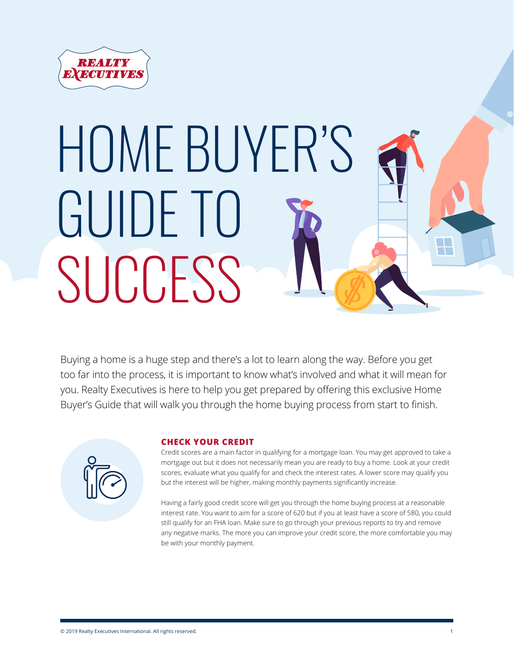

# HOME BUYER'S GUIDE TO  $\mathcal{L}(\mathcal{L})$ **SUCCESS**

Buying a home is a huge step and there's a lot to learn along the way. Before you get too far into the process, it is important to know what's involved and what it will mean for you. Realty Executives is here to help you get prepared by offering this exclusive Home Buyer's Guide that will walk you through the home buying process from start to finish.



# **CHECK YOUR CREDIT**

Credit scores are a main factor in qualifying for a mortgage loan. You may get approved to take a mortgage out but it does not necessarily mean you are ready to buy a home. Look at your credit scores, evaluate what you qualify for and check the interest rates. A lower score may qualify you but the interest will be higher, making monthly payments significantly increase.

Having a fairly good credit score will get you through the home buying process at a reasonable interest rate. You want to aim for a score of 620 but if you at least have a score of 580, you could still qualify for an FHA loan. Make sure to go through your previous reports to try and remove any negative marks. The more you can improve your credit score, the more comfortable you may be with your monthly payment.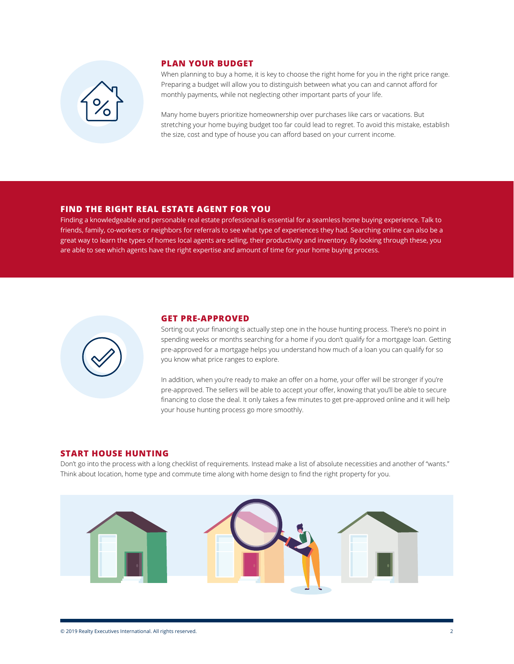

## **PLAN YOUR BUDGET**

When planning to buy a home, it is key to choose the right home for you in the right price range. Preparing a budget will allow you to distinguish between what you can and cannot afford for monthly payments, while not neglecting other important parts of your life.

Many home buyers prioritize homeownership over purchases like cars or vacations. But stretching your home buying budget too far could lead to regret. To avoid this mistake, establish the size, cost and type of house you can afford based on your current income.

## **FIND THE RIGHT REAL ESTATE AGENT FOR YOU**

Finding a knowledgeable and personable real estate professional is essential for a seamless home buying experience. Talk to friends, family, co-workers or neighbors for referrals to see what type of experiences they had. Searching online can also be a great way to learn the types of homes local agents are selling, their productivity and inventory. By looking through these, you are able to see which agents have the right expertise and amount of time for your home buying process.



#### **GET PRE-APPROVED**

Sorting out your financing is actually step one in the house hunting process. There's no point in spending weeks or months searching for a home if you don't qualify for a mortgage loan. Getting pre-approved for a mortgage helps you understand how much of a loan you can qualify for so you know what price ranges to explore.

In addition, when you're ready to make an offer on a home, your offer will be stronger if you're pre-approved. The sellers will be able to accept your offer, knowing that you'll be able to secure financing to close the deal. It only takes a few minutes to get pre-approved online and it will help your house hunting process go more smoothly.

## **START HOUSE HUNTING**

Don't go into the process with a long checklist of requirements. Instead make a list of absolute necessities and another of "wants." Think about location, home type and commute time along with home design to find the right property for you.

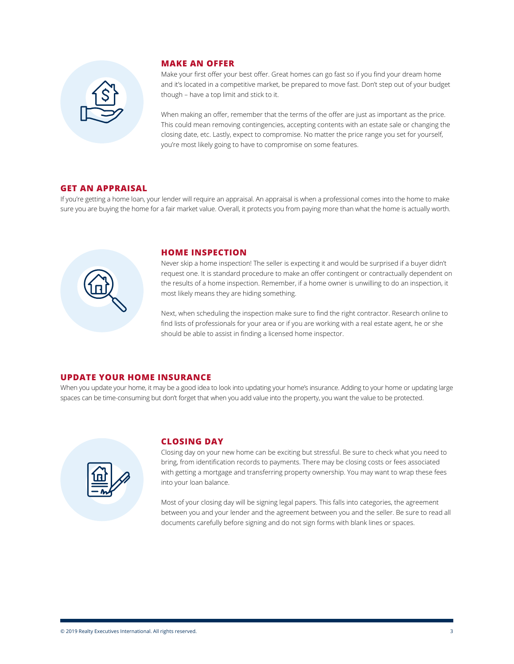

### **MAKE AN OFFER**

Make your first offer your best offer. Great homes can go fast so if you find your dream home and it's located in a competitive market, be prepared to move fast. Don't step out of your budget though – have a top limit and stick to it.

When making an offer, remember that the terms of the offer are just as important as the price. This could mean removing contingencies, accepting contents with an estate sale or changing the closing date, etc. Lastly, expect to compromise. No matter the price range you set for yourself, you're most likely going to have to compromise on some features.

## **GET AN APPRAISAL**

If you're getting a home loan, your lender will require an appraisal. An appraisal is when a professional comes into the home to make sure you are buying the home for a fair market value. Overall, it protects you from paying more than what the home is actually worth.



#### **HOME INSPECTION**

Never skip a home inspection! The seller is expecting it and would be surprised if a buyer didn't request one. It is standard procedure to make an offer contingent or contractually dependent on the results of a home inspection. Remember, if a home owner is unwilling to do an inspection, it most likely means they are hiding something.

Next, when scheduling the inspection make sure to find the right contractor. Research online to find lists of professionals for your area or if you are working with a real estate agent, he or she should be able to assist in finding a licensed home inspector.

## **UPDATE YOUR HOME INSURANCE**

When you update your home, it may be a good idea to look into updating your home's insurance. Adding to your home or updating large spaces can be time-consuming but don't forget that when you add value into the property, you want the value to be protected.



#### **CLOSING DAY**

Closing day on your new home can be exciting but stressful. Be sure to check what you need to bring, from identification records to payments. There may be closing costs or fees associated with getting a mortgage and transferring property ownership. You may want to wrap these fees into your loan balance.

Most of your closing day will be signing legal papers. This falls into categories, the agreement between you and your lender and the agreement between you and the seller. Be sure to read all documents carefully before signing and do not sign forms with blank lines or spaces.